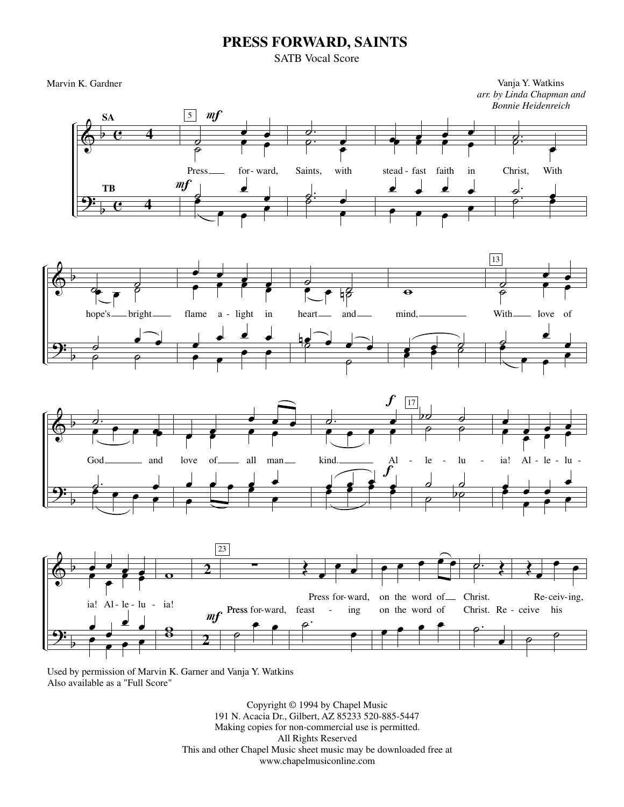## **PRESS FORWARD, SAINTS**

SATB Vocal Score

Marvin K. Gardner Vanja Y. Watkins *arr. by Linda Chapman and Bonnie Heidenreich*









Used by permission of Marvin K. Garner and Vanja Y. Watkins Also available as a "Full Score"

> Copyright © 1994 by Chapel Music 191 N. Acacia Dr., Gilbert, AZ 85233 520-885-5447 Making copies for non-commercial use is permitted. All Rights Reserved This and other Chapel Music sheet music may be downloaded free at www.chapelmusiconline.com